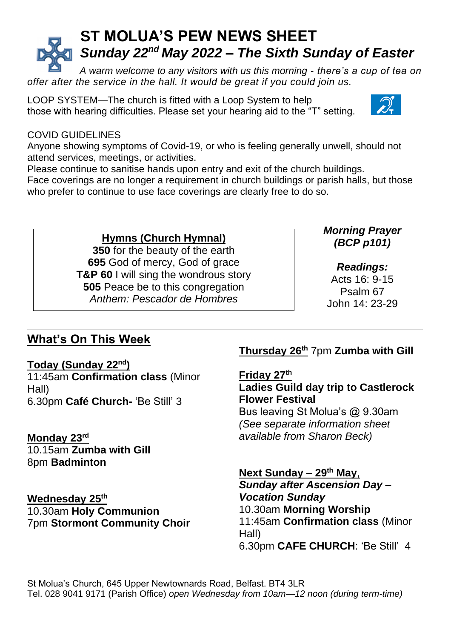# **ST MOLUA'S PEW NEWS SHEET** *Sunday 22nd May 2022 – The Sixth Sunday of Easter*

*A warm welcome to any visitors with us this morning - there's a cup of tea on offer after the service in the hall. It would be great if you could join us.*

LOOP SYSTEM—The church is fitted with a Loop System to help those with hearing difficulties. Please set your hearing aid to the "T" setting.



# COVID GUIDELINES

Anyone showing symptoms of Covid-19, or who is feeling generally unwell, should not attend services, meetings, or activities.

Please continue to sanitise hands upon entry and exit of the church buildings.

Face coverings are no longer a requirement in church buildings or parish halls, but those who prefer to continue to use face coverings are clearly free to do so.

# **Hymns (Church Hymnal)**

**350** for the beauty of the earth **695** God of mercy, God of grace **T&P 60** I will sing the wondrous story **505** Peace be to this congregation *Anthem: Pescador de Hombres*

### *Morning Prayer (BCP p101)*

*Readings:*

Acts 16: 9-15 Psalm 67 John 14: 23-29

# **What's On This Week**

# **Today (Sunday 22nd)**

11:45am **Confirmation class** (Minor Hall) 6.30pm **Café Church-** 'Be Still' 3

**Monday 23rd** 10.15am **Zumba with Gill** 8pm **Badminton**

**Wednesday 25th** 10.30am **Holy Communion** 7pm **Stormont Community Choir**

# **Thursday 26th** 7pm **Zumba with Gill**

**Friday 27th Ladies Guild day trip to Castlerock Flower Festival** Bus leaving St Molua's @ 9.30am

*(See separate information sheet available from Sharon Beck)*

#### **Next Sunday – 29 th May**, *Sunday after Ascension Day – Vocation Sunday* 10.30am **Morning Worship** 11:45am **Confirmation class** (Minor Hall)

6.30pm **CAFE CHURCH**: 'Be Still' 4